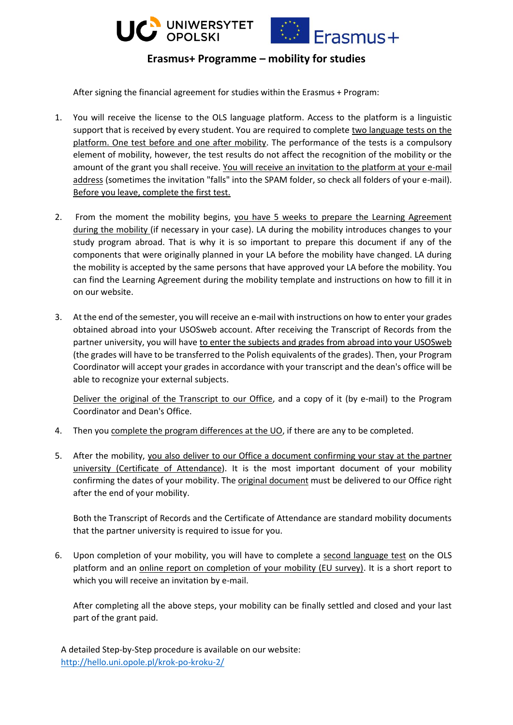



## **Erasmus+ Programme – mobility for studies**

After signing the financial agreement for studies within the Erasmus + Program:

- 1. You will receive the license to the OLS language platform. Access to the platform is a linguistic support that is received by every student. You are required to complete two language tests on the platform. One test before and one after mobility. The performance of the tests is a compulsory element of mobility, however, the test results do not affect the recognition of the mobility or the amount of the grant you shall receive. You will receive an invitation to the platform at your e-mail address (sometimes the invitation "falls" into the SPAM folder, so check all folders of your e-mail). Before you leave, complete the first test.
- 2. From the moment the mobility begins, you have 5 weeks to prepare the Learning Agreement during the mobility (if necessary in your case). LA during the mobility introduces changes to your study program abroad. That is why it is so important to prepare this document if any of the components that were originally planned in your LA before the mobility have changed. LA during the mobility is accepted by the same persons that have approved your LA before the mobility. You can find the Learning Agreement during the mobility template and instructions on how to fill it in on our website.
- 3. At the end of the semester, you will receive an e-mail with instructions on how to enter your grades obtained abroad into your USOSweb account. After receiving the Transcript of Records from the partner university, you will have to enter the subjects and grades from abroad into your USOSweb (the grades will have to be transferred to the Polish equivalents of the grades). Then, your Program Coordinator will accept your grades in accordance with your transcript and the dean's office will be able to recognize your external subjects.

Deliver the original of the Transcript to our Office, and a copy of it (by e-mail) to the Program Coordinator and Dean's Office.

- 4. Then you complete the program differences at the UO, if there are any to be completed.
- 5. After the mobility, you also deliver to our Office a document confirming your stay at the partner university (Certificate of Attendance). It is the most important document of your mobility confirming the dates of your mobility. The original document must be delivered to our Office right after the end of your mobility.

Both the Transcript of Records and the Certificate of Attendance are standard mobility documents that the partner university is required to issue for you.

6. Upon completion of your mobility, you will have to complete a second language test on the OLS platform and an online report on completion of your mobility (EU survey). It is a short report to which you will receive an invitation by e-mail.

After completing all the above steps, your mobility can be finally settled and closed and your last part of the grant paid.

A detailed Step-by-Step procedure is available on our website: <http://hello.uni.opole.pl/krok-po-kroku-2/>